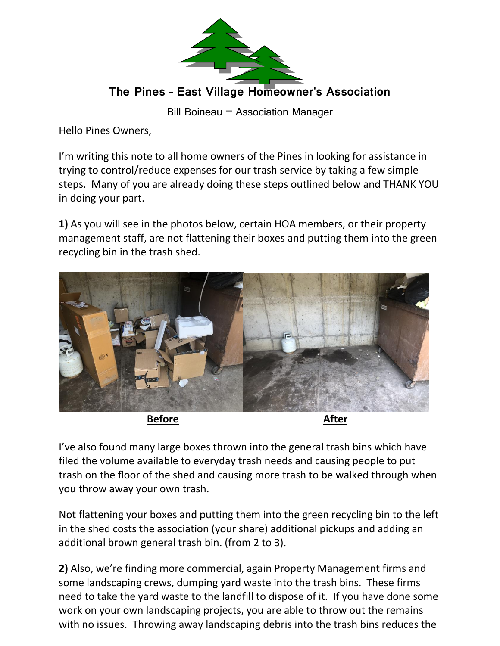

Bill Boineau – Association Manager

Hello Pines Owners,

I'm writing this note to all home owners of the Pines in looking for assistance in trying to control/reduce expenses for our trash service by taking a few simple steps. Many of you are already doing these steps outlined below and THANK YOU in doing your part.

**1)** As you will see in the photos below, certain HOA members, or their property management staff, are not flattening their boxes and putting them into the green recycling bin in the trash shed.



**Before After**

I've also found many large boxes thrown into the general trash bins which have filed the volume available to everyday trash needs and causing people to put trash on the floor of the shed and causing more trash to be walked through when you throw away your own trash.

Not flattening your boxes and putting them into the green recycling bin to the left in the shed costs the association (your share) additional pickups and adding an additional brown general trash bin. (from 2 to 3).

**2)** Also, we're finding more commercial, again Property Management firms and some landscaping crews, dumping yard waste into the trash bins. These firms need to take the yard waste to the landfill to dispose of it. If you have done some work on your own landscaping projects, you are able to throw out the remains with no issues. Throwing away landscaping debris into the trash bins reduces the